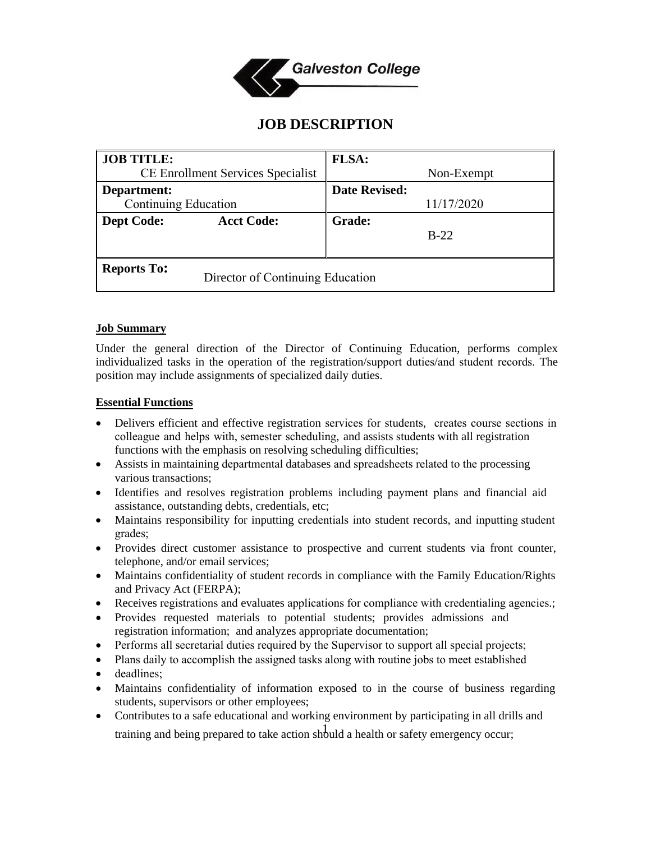

# **JOB DESCRIPTION**

| <b>JOB TITLE:</b>                                      | <b>FLSA:</b>         |
|--------------------------------------------------------|----------------------|
| <b>CE Enrollment Services Specialist</b>               | Non-Exempt           |
| Department:                                            | <b>Date Revised:</b> |
| Continuing Education                                   | 11/17/2020           |
| <b>Dept Code:</b><br><b>Acct Code:</b>                 | <b>Grade:</b>        |
|                                                        | $B-22$               |
|                                                        |                      |
| <b>Reports To:</b><br>Director of Continuing Education |                      |

#### **Job Summary**

Under the general direction of the Director of Continuing Education, performs complex individualized tasks in the operation of the registration/support duties/and student records. The position may include assignments of specialized daily duties.

#### **Essential Functions**

- Delivers efficient and effective registration services for students, creates course sections in colleague and helps with, semester scheduling, and assists students with all registration functions with the emphasis on resolving scheduling difficulties;
- Assists in maintaining departmental databases and spreadsheets related to the processing various transactions;
- Identifies and resolves registration problems including payment plans and financial aid assistance, outstanding debts, credentials, etc;
- Maintains responsibility for inputting credentials into student records, and inputting student grades;
- Provides direct customer assistance to prospective and current students via front counter, telephone, and/or email services;
- Maintains confidentiality of student records in compliance with the Family Education/Rights and Privacy Act (FERPA);
- Receives registrations and evaluates applications for compliance with credentialing agencies.;
- Provides requested materials to potential students; provides admissions and registration information; and analyzes appropriate documentation;
- Performs all secretarial duties required by the Supervisor to support all special projects;
- Plans daily to accomplish the assigned tasks along with routine jobs to meet established
- deadlines:
- Maintains confidentiality of information exposed to in the course of business regarding students, supervisors or other employees;
- Contributes to a safe educational and working environment by participating in all drills and training and being prepared to take action should a health or safety emergency occur;